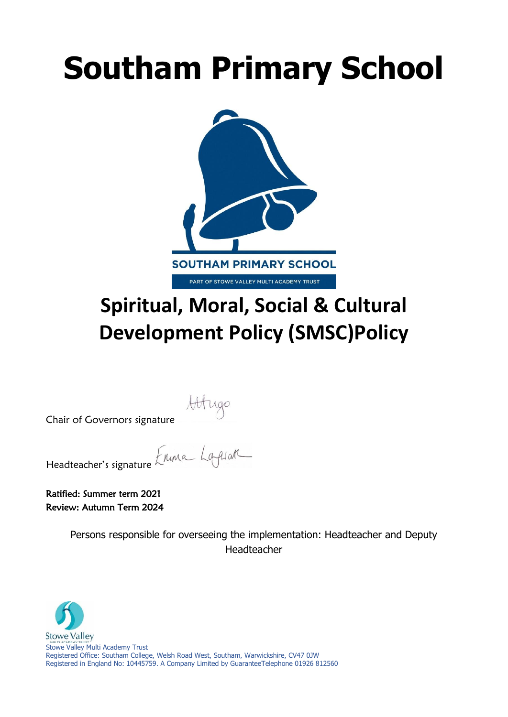# **Southam Primary School**



# **Spiritual, Moral, Social & Cultural Development Policy (SMSC)Policy**

Attugo<br>Chair of Governors signature<br>Headteacher's signature *Erling* Lagelar Headteacher's signature

Ratified: Summer term 2021 Review: Autumn Term 2024

> Persons responsible for overseeing the implementation: Headteacher and Deputy Headteacher

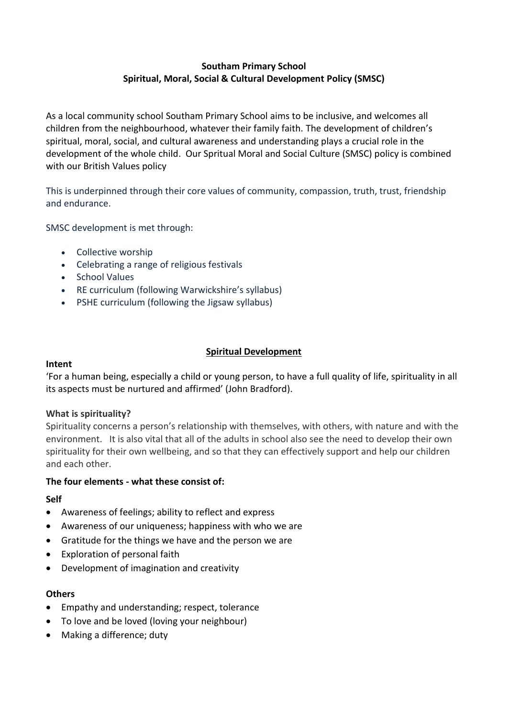# **Southam Primary School Spiritual, Moral, Social & Cultural Development Policy (SMSC)**

As a local community school Southam Primary School aims to be inclusive, and welcomes all children from the neighbourhood, whatever their family faith. The development of children's spiritual, moral, social, and cultural awareness and understanding plays a crucial role in the development of the whole child. Our Spritual Moral and Social Culture (SMSC) policy is combined with our British Values policy

This is underpinned through their core values of community, compassion, truth, trust, friendship and endurance.

SMSC development is met through:

- Collective worship
- Celebrating a range of religious festivals
- School Values
- RE curriculum (following Warwickshire's syllabus)
- PSHE curriculum (following the Jigsaw syllabus)

### **Spiritual Development**

#### **Intent**

'For a human being, especially a child or young person, to have a full quality of life, spirituality in all its aspects must be nurtured and affirmed' (John Bradford).

# **What is spirituality?**

Spirituality concerns a person's relationship with themselves, with others, with nature and with the environment. It is also vital that all of the adults in school also see the need to develop their own spirituality for their own wellbeing, and so that they can effectively support and help our children and each other.

#### **The four elements - what these consist of:**

# **Self**

- Awareness of feelings; ability to reflect and express
- Awareness of our uniqueness; happiness with who we are
- Gratitude for the things we have and the person we are
- Exploration of personal faith
- Development of imagination and creativity

#### **Others**

- Empathy and understanding; respect, tolerance
- To love and be loved (loving your neighbour)
- Making a difference; duty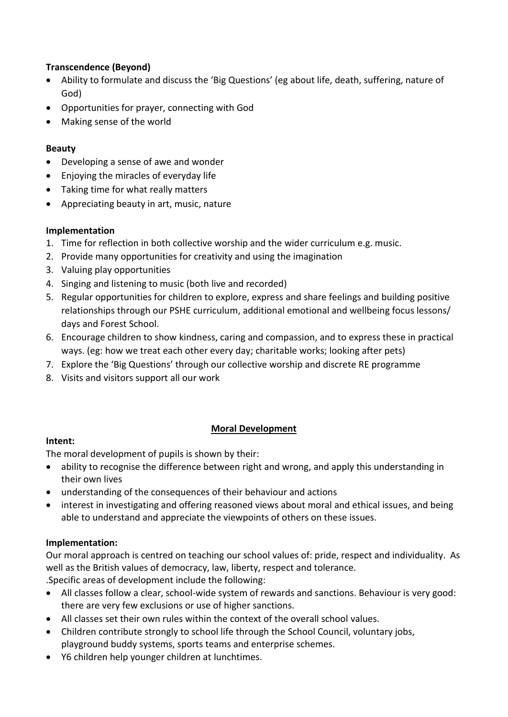# **Transcendence (Beyond)**

- Ability to formulate and discuss the 'Big Questions' (eg about life, death, suffering, nature of God)
- Opportunities for prayer, connecting with God
- Making sense of the world

# **Beauty**

- Developing a sense of awe and wonder
- Enjoying the miracles of everyday life
- Taking time for what really matters
- Appreciating beauty in art, music, nature

# **Implementation**

- 1. Time for reflection in both collective worship and the wider curriculum e.g. music.
- 2. Provide many opportunities for creativity and using the imagination
- 3. Valuing play opportunities
- 4. Singing and listening to music (both live and recorded)
- 5. Regular opportunities for children to explore, express and share feelings and building positive relationships through our PSHE curriculum, additional emotional and wellbeing focus lessons/ days and Forest School.
- 6. Encourage children to show kindness, caring and compassion, and to express these in practical ways. (eg: how we treat each other every day; charitable works; looking after pets)
- 7. Explore the 'Big Questions' through our collective worship and discrete RE programme
- 8. Visits and visitors support all our work

# **Moral Development**

# **Intent:**

The moral development of pupils is shown by their:

- ability to recognise the difference between right and wrong, and apply this understanding in their own lives
- understanding of the consequences of their behaviour and actions
- interest in investigating and offering reasoned views about moral and ethical issues, and being able to understand and appreciate the viewpoints of others on these issues.

# **Implementation:**

Our moral approach is centred on teaching our school values of: pride, respect and individuality. As well as the British values of democracy, law, liberty, respect and tolerance.

.Specific areas of development include the following:

- All classes follow a clear, school-wide system of rewards and sanctions. Behaviour is very good: there are very few exclusions or use of higher sanctions.
- All classes set their own rules within the context of the overall school values.
- Children contribute strongly to school life through the School Council, voluntary jobs, playground buddy systems, sports teams and enterprise schemes.
- Y6 children help younger children at lunchtimes.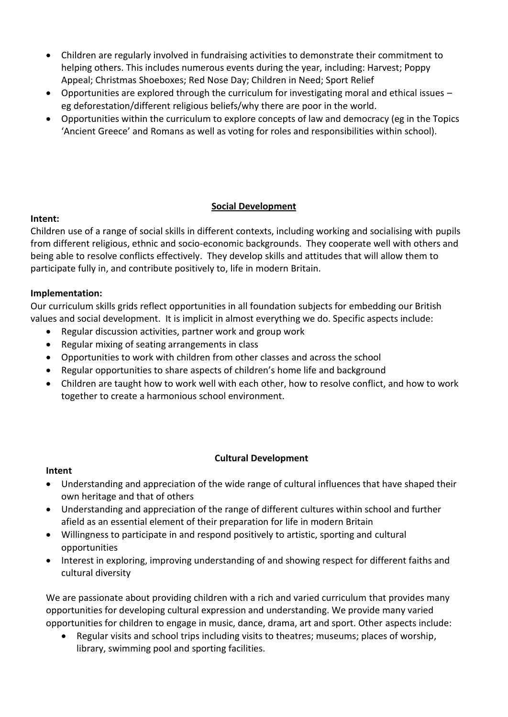- Children are regularly involved in fundraising activities to demonstrate their commitment to helping others. This includes numerous events during the year, including: Harvest; Poppy Appeal; Christmas Shoeboxes; Red Nose Day; Children in Need; Sport Relief
- Opportunities are explored through the curriculum for investigating moral and ethical issues eg deforestation/different religious beliefs/why there are poor in the world.
- Opportunities within the curriculum to explore concepts of law and democracy (eg in the Topics 'Ancient Greece' and Romans as well as voting for roles and responsibilities within school).

# **Social Development**

# **Intent:**

Children use of a range of social skills in different contexts, including working and socialising with pupils from different religious, ethnic and socio-economic backgrounds. They cooperate well with others and being able to resolve conflicts effectively. They develop skills and attitudes that will allow them to participate fully in, and contribute positively to, life in modern Britain.

# **Implementation:**

Our curriculum skills grids reflect opportunities in all foundation subjects for embedding our British values and social development. It is implicit in almost everything we do. Specific aspects include:

- Regular discussion activities, partner work and group work
- Regular mixing of seating arrangements in class
- Opportunities to work with children from other classes and across the school
- Regular opportunities to share aspects of children's home life and background
- Children are taught how to work well with each other, how to resolve conflict, and how to work together to create a harmonious school environment.

# **Cultural Development**

# **Intent**

- Understanding and appreciation of the wide range of cultural influences that have shaped their own heritage and that of others
- Understanding and appreciation of the range of different cultures within school and further afield as an essential element of their preparation for life in modern Britain
- Willingness to participate in and respond positively to artistic, sporting and cultural opportunities
- Interest in exploring, improving understanding of and showing respect for different faiths and cultural diversity

We are passionate about providing children with a rich and varied curriculum that provides many opportunities for developing cultural expression and understanding. We provide many varied opportunities for children to engage in music, dance, drama, art and sport. Other aspects include:

• Regular visits and school trips including visits to theatres; museums; places of worship, library, swimming pool and sporting facilities.